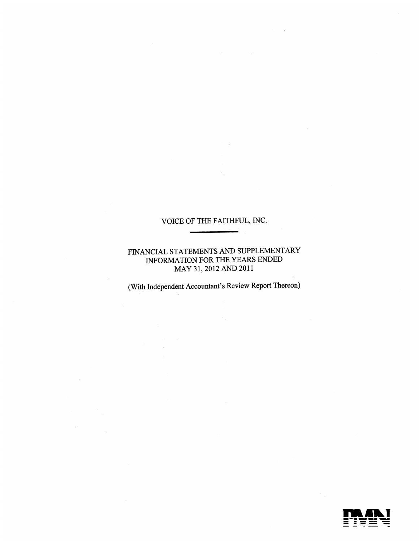$\mathcal{L}$ 

# FINANCIAL STATEMENTS AND SUPPLEMENTARY INFORMATION FOR THE YEARS ENDED MAY 31, 2012 AND 2011

(With Independent Accountant's Review Report Thereon)

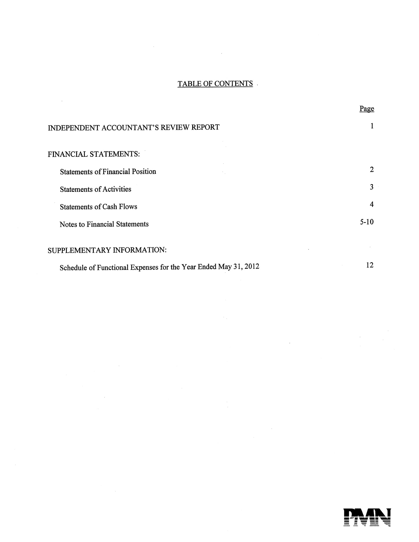# TABLE OF CONTENTS

 $\mathcal{L}^{\text{max}}_{\text{max}}$  and  $\mathcal{L}^{\text{max}}_{\text{max}}$ 

 $\mathcal{A}^{\pm}$ 

 $\sim$ 

 $\mathcal{L}^{\text{max}}_{\text{max}}$ 

|                                                                 | Page           |
|-----------------------------------------------------------------|----------------|
| INDEPENDENT ACCOUNTANT'S REVIEW REPORT                          |                |
| FINANCIAL STATEMENTS:                                           |                |
| <b>Statements of Financial Position</b>                         | 2              |
| <b>Statements of Activities</b>                                 | 3              |
| <b>Statements of Cash Flows</b>                                 | $\overline{4}$ |
| Notes to Financial Statements                                   | $5-10$         |
| SUPPLEMENTARY INFORMATION:                                      |                |
| Schedule of Functional Expenses for the Year Ended May 31, 2012 | 12             |



 $\label{eq:2} \frac{1}{\sqrt{2\pi}}\int_{0}^{\pi} \frac{1}{\sqrt{2\pi}}\left(\frac{1}{\sqrt{2\pi}}\right)^{2}d\mu$ 

 $\sim 10^{-10}$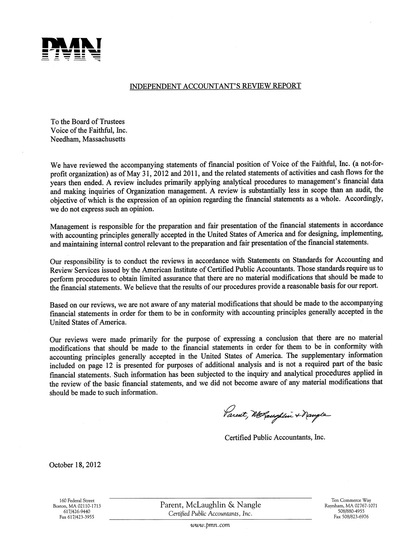

## INDEPENDENT ACCOUNTANT'S REVIEW REPORT

To the Board of Trustees Voice of the Faithful, Inc. Needham, Massachusetts

We have reviewed the accompanying statements of financial position of Voice of the Faithful, Inc. (a not-forprofit organization) as of May 31, 2012 and 2011, and the related statements of activities and cash flows for the years then ended. A review includes primarily applying analytical procedures to management's financial data and making inquiries of Organization management. A review is substantially less in scope than an audit, the objective of which is the expression of an opinion regarding the financial statements as a whole. Accordingly, we do not express such an opinion.

Management is responsible for the preparation and fair presentation of the financial statements in accordance with accounting principles generally accepted in the United States of America and for designing, implementing, and maintaining internal control relevant to the preparation and fair presentation of the financial statements.

Our responsibility is to conduct the reviews in accordance with Statements on Standards for Accounting and Review Services issued by the American Institute of Certified Public Accountants. Those standards require us to perform procedures to obtain limited assurance that there are no material modifications that should be made to the financial statements. We believe that the results of our procedures provide a reasonable basis for our report.

Based on our reviews, we are not aware of any material modifications that should be made to the accompanying financial statements in order for them to be in conformity with accounting principles generally accepted in the United States of America.

Our reviews were made primarily for the purpose of expressing a conclusion that there are no material modifications that should be made to the financial statements in order for them to be in conformity with accounting principles generally accepted in the United States of America. The supplementary information included on page 12 is presented for purposes of additional analysis and is not a required part of the basic financial statements. Such information has been subjected to the inquiry and analytical procedures applied in the review of the basic financial statements, and we did not become aware of any material modifications that should be made to such information.

Parent, Westpurghlin + Nangle

Certified Public Accountants, Inc.

October 18, 2012

Fax *6171423-3955* Fax *5081823-6976* 

1 160 Federal Street Ten Commerce Way (160 Federal Street Way (160 Federal Street Way (160 Federal Street Parent, McLaughlin & Nangle Raynham, MA 02767-1071 617/426-9440 **617/426-9440** 508/880-4955<br>ax 617/423-3955 **Fax 508/823-6976** 

www.pmn.com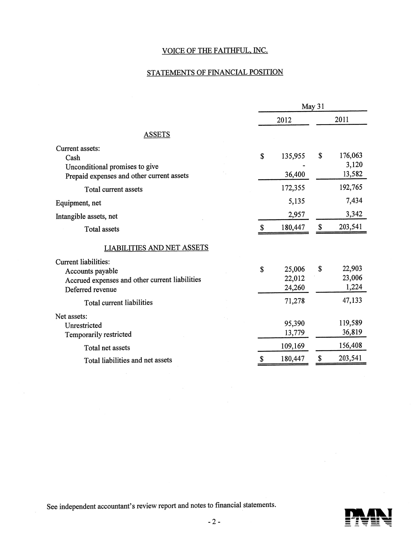# STATEMENTS OF FINANCIAL POSITION

|                                                                                                                       |    |                            | May 31 |                            |  |
|-----------------------------------------------------------------------------------------------------------------------|----|----------------------------|--------|----------------------------|--|
|                                                                                                                       |    | 2012                       |        | 2011                       |  |
| <b>ASSETS</b>                                                                                                         |    |                            |        |                            |  |
| Current assets:<br>Cash<br>Unconditional promises to give<br>Prepaid expenses and other current assets                | \$ | 135,955<br>36,400          | \$     | 176,063<br>3,120<br>13,582 |  |
| Total current assets                                                                                                  |    | 172,355                    |        | 192,765                    |  |
| Equipment, net                                                                                                        |    | 5,135                      |        | 7,434                      |  |
| Intangible assets, net                                                                                                |    | 2,957                      |        | 3,342                      |  |
| <b>Total assets</b>                                                                                                   | \$ | 180,447                    | $\$$   | 203,541                    |  |
| <b>LIABILITIES AND NET ASSETS</b>                                                                                     |    |                            |        |                            |  |
| <b>Current liabilities:</b><br>Accounts payable<br>Accrued expenses and other current liabilities<br>Deferred revenue | \$ | 25,006<br>22,012<br>24,260 | \$     | 22,903<br>23,006<br>1,224  |  |
| Total current liabilities                                                                                             |    | 71,278                     |        | 47,133                     |  |
| Net assets:<br>Unrestricted<br>Temporarily restricted                                                                 |    | 95,390<br>13,779           |        | 119,589<br>36,819          |  |
| Total net assets                                                                                                      |    | 109,169                    |        | 156,408                    |  |
| Total liabilities and net assets                                                                                      | S  | 180,447                    | \$     | 203,541                    |  |

See independent accountant's review report and notes to financial statements.<br> $-2$ -



 $\sim$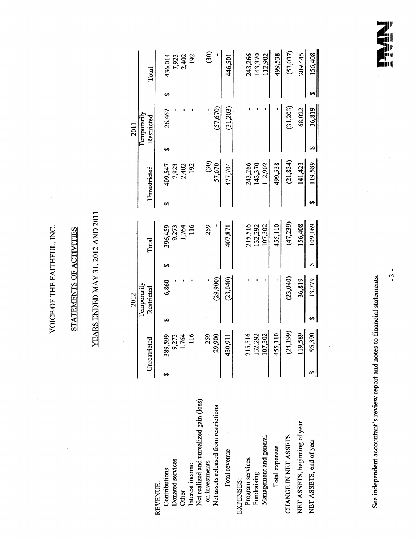# STATEMENTS OF ACTIVITIES

 $\bar{\beta}$ 

 $\hat{\mathcal{A}}$ 

# YEARS ENDED MAY 31, 2012 AND 2011

|                                         |    |                       |    | 2012        |    |                       |     |                       |   | 2011        |    |                       |
|-----------------------------------------|----|-----------------------|----|-------------|----|-----------------------|-----|-----------------------|---|-------------|----|-----------------------|
|                                         |    |                       |    | Temporarily |    |                       |     |                       |   | Temporarily |    |                       |
|                                         |    | Unrestricted          |    | Restricted  |    | Total                 |     | Unrestricted          |   | Restricted  |    | Total                 |
| REVENUE:                                |    |                       |    |             |    |                       |     |                       |   |             |    |                       |
| Contributions                           | မာ | 89,599                | ⊷  | 6,860       | မာ | 396,459               | မာ  | 409,547               | ⊷ | 26,467      | မာ | 436,014               |
| Donated services                        |    |                       |    |             |    |                       |     |                       |   |             |    |                       |
| Other                                   |    | 9,273<br>1,764<br>116 |    |             |    | 9,273<br>1,764<br>116 |     | 7,923<br>2,402<br>192 |   |             |    | 7,923<br>2,402<br>192 |
| Interest income                         |    |                       |    |             |    |                       |     |                       |   |             |    |                       |
| Net realized and unrealized gain (loss) |    |                       |    |             |    |                       |     |                       |   |             |    |                       |
| on investments                          |    | 259                   |    |             |    | 259                   |     | (30)                  |   |             |    | (30)                  |
| Net assets released from restrictions   |    | 29,900                |    | (29,900)    |    |                       |     | 57,670                |   | (57, 670)   |    |                       |
| Total revenue                           |    | 430,911               |    | (23,040)    |    | 407.871               |     | 477,704               |   | (31, 203)   |    | 446,501               |
| EXPENSES:                               |    |                       |    |             |    |                       |     |                       |   |             |    |                       |
| Program services                        |    | 215,516               |    |             |    | 215,516               |     | 243,266               |   |             |    | 243,266               |
| Fundraising                             |    | 132,292               |    |             |    | 132,292               |     | 143,370               |   |             |    | 143,370               |
| Management and general                  |    | 107,302               |    |             |    | 107,302               |     | 12,902                |   |             |    | 112,902               |
| Total expenses                          |    | 455,110               |    |             |    | 455,110               |     | 499,538               |   |             |    | 499,538               |
| CHANGE IN NET ASSETS                    |    | (24, 199)             |    | (23,040)    |    | (47,239)              |     | (21, 834)             |   | (31,203)    |    | (53,037)              |
| NET ASSETS, beginning of year           |    | 119,589               |    | 36,819      |    | 156,408               |     | 141,423               |   | 68,022      |    | 209,445               |
| NET ASSETS, end of year                 |    | 95,390                | မာ | 13,779      |    | 109,169               | မျူ | 119,589               | ↮ | 36,819      | ↮  | 156,408               |

See independent accountant's review report and notes to financial statements.

 $\frac{1}{\sqrt{2}}$ 



 $-3-$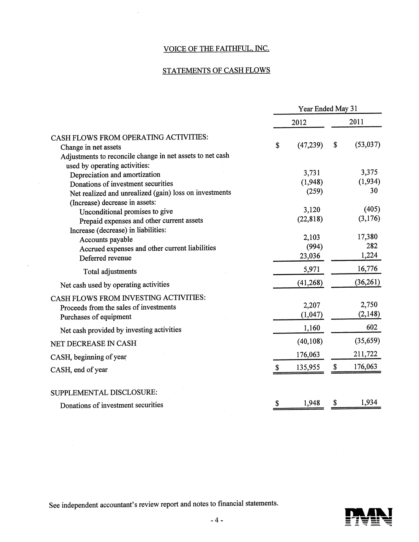$\sim$ 

 $\sim$ 

 $\sim$ 

# STATEMENTS OF CASH FLOWS

|                                                                                                                                                                | Year Ended May 31         |                           |                         |
|----------------------------------------------------------------------------------------------------------------------------------------------------------------|---------------------------|---------------------------|-------------------------|
|                                                                                                                                                                | 2012                      |                           | 2011                    |
| CASH FLOWS FROM OPERATING ACTIVITIES:<br>Change in net assets<br>Adjustments to reconcile change in net assets to net cash                                     | \$<br>(47,239)            | \$                        | (53,037)                |
| used by operating activities:<br>Depreciation and amortization<br>Donations of investment securities<br>Net realized and unrealized (gain) loss on investments | 3,731<br>(1,948)<br>(259) |                           | 3,375<br>(1, 934)<br>30 |
| (Increase) decrease in assets:<br>Unconditional promises to give<br>Prepaid expenses and other current assets<br>Increase (decrease) in liabilities:           | 3,120<br>(22, 818)        |                           | (405)<br>(3,176)        |
| Accounts payable<br>Accrued expenses and other current liabilities<br>Deferred revenue                                                                         | 2,103<br>(994)<br>23,036  |                           | 17,380<br>282<br>1,224  |
| Total adjustments                                                                                                                                              | 5,971                     |                           | 16,776                  |
| Net cash used by operating activities                                                                                                                          | (41,268)                  |                           | (36,261)                |
| CASH FLOWS FROM INVESTING ACTIVITIES:<br>Proceeds from the sales of investments<br>Purchases of equipment                                                      | 2,207<br>(1,047)          |                           | 2,750<br>(2,148)        |
| Net cash provided by investing activities                                                                                                                      | 1,160                     |                           | 602                     |
| NET DECREASE IN CASH                                                                                                                                           | (40, 108)                 |                           | (35, 659)               |
| CASH, beginning of year                                                                                                                                        | 176,063                   |                           | 211,722                 |
| CASH, end of year                                                                                                                                              | \$<br>135,955             | $\boldsymbol{\mathsf{S}}$ | 176,063                 |
| SUPPLEMENTAL DISCLOSURE:                                                                                                                                       |                           |                           |                         |
| Donations of investment securities                                                                                                                             | \$<br>1,948               | \$                        | 1,934                   |

See independent accountant's review report and notes to financial statements.<br>-4 -

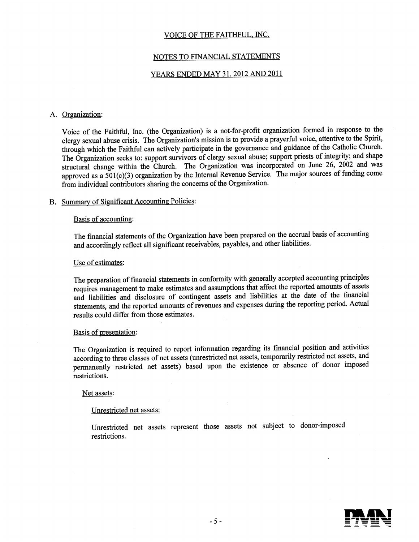#### NOTES TO FINANCIAL STATEMENTS

#### YEARS ENDED MAY 31, 2012 AND 2011

#### A. Organization:

Voice of the Faithful, Inc. (the Organization) is a not-for-profit organization formed in response to the clergy sexual abuse crisis. The Organization's mission is to provide a prayerful voice, attentive to the Spirit, through which the Faithful can actively participate in the governance and guidance of the Catholic Church. The Organization seeks to: support survivors of clergy sexual abuse; support priests of integrity; and shape structural change within the Church. The Organization was incorporated on June 26, 2002 and was approved as a 501(c)(3) organization by the Internal Revenue Service. The major sources of funding come from individual contributors sharing the concerns of the Organization.

#### B. Summary of Significant Accounting Policies:

#### Basis of accounting:

The financial statements of the Organization have been prepared on the accrual basis of accounting and accordingly reflect all significant receivables, payables, and other liabilities.

#### Use of estimates:

The preparation of financial statements in conformity with generally accepted accounting principles requires management to make estimates and assumptions that affect the reported amounts of assets and liabilities and disclosure of contingent assets and liabilities at the date of the fmancial statements, and the reported amounts of revenues and expenses during the reporting period. Actual results could differ from those estimates.

#### Basis of presentation:

The Organization is required to report information regarding its financial position and activities according to three classes of net assets (unrestricted net assets, temporarily restricted net assets, and permanently restricted net assets) based upon the existence or absence of donor imposed restrictions.

#### Net assets:

#### Unrestricted net assets:

Unrestricted net assets represent those assets not subject to donor-imposed restrictions.

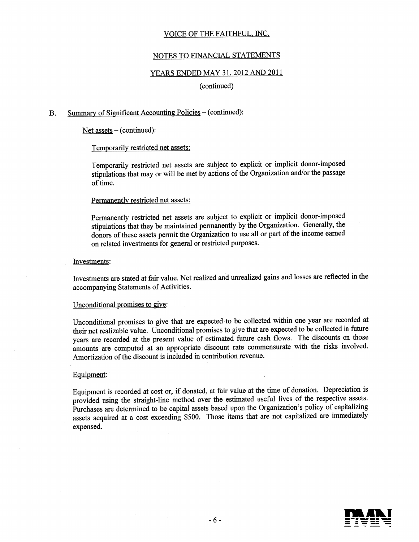#### NOTES TO FINANCIAL STATEMENTS

#### YEARS ENDED MAY 31. 2012 AND 2011

#### (continued)

#### B. Summary of Significant Accounting Policies – (continued):

 $Net$  assets  $-$  (continued):

#### Temporarily restricted net assets:

Temporarily restricted net assets are subject to explicit or implicit donor-imposed stipulations that may or will be met by actions of the Organization and/or the passage of time.

#### Permanently restricted net assets:

Permanently restricted net assets are subject to explicit or implicit donor-imposed stipulations that they be maintained permanently by the Organization. Generally, the donors of these assets permit the Organization to use all or part of the income earned on related investments for general or restricted purposes.

#### Investments:

Investments are stated at fair value. Net realized and unrealized gains and losses are reflected in the accompanying Statements of Activities.

#### Unconditional promises to give:

Unconditional promises to give that are expected-to be collected within one year are recorded at their net realizable value. Unconditional promises to give that are expected to be collected in future years are recorded at the present value of estimated future cash flows. The discounts on those amounts are computed at an appropriate discount rate commensurate with the risks involved. Amortization of the discount is included in contribution revenue.

#### Equipment:

Equipment is recorded at cost or, if donated, at fair value at the time of donation. Depreciation is provided using the straight-line method over the estimated useful lives of the respective assets. Purchases are determined to be capital assets based upon the Organization's policy of capitalizing assets acquired at a cost exceeding \$500. Those items that are not capitalized are immediately expensed.

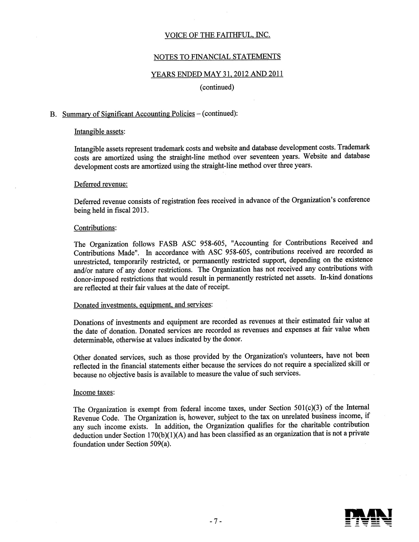#### NOTES TO FINANCIAL STATEMENTS

#### YEARS ENDED MAY 31. 2012 AND 2011

#### (continued)

#### B. Summary of Significant Accounting Policies - (continued):

#### Intangible assets:

Intangible assets represent trademark costs and website and database development costs. Trademark costs are amortized using the straight-line method over seventeen years. Website and database development costs are amortized using the straight-line method over three years.

#### Deferred revenue:

Deferred revenue consists of registration fees received in advance of the Organization's conference being held in fiscal 2013.

#### Contributions:

The Organization follows FASB ASC 958-605, "Accounting for Contributions Received and Contributions Made". In accordance with ASC 958-605, contributions received are recorded as unrestricted, temporarily restricted, or permanently restricted support, depending on the existence and/or nature of any donor restrictions. The Organization has not received any contributions with donor-imposed restrictions that would result in permanently restricted net assets. In-kind donations are reflected at their fair values at the date of receipt.

#### Donated investments, equipment, and services:

Donations of investments and equipment are recorded as revenues at their estimated fair value at the date of donation. Donated services are recorded as revenues and expenses at fair value when determinable, otherwise at values indicated by the donor.

Other donated services, such as those provided by the Organization's volunteers, have not been reflected in the financial statements either because the services do not require a specialized skill or because no objective basis is available to measure the value of such services.

#### Income taxes:

The Organization is exempt from federal income taxes, under Section 50l(c)(3) of the Internal Revenue Code. The Organization is, however, subject to the tax on unrelated business income, if any such income exists. In addition, the Organization qualifies for the charitable contribution deduction under Section 170(b)(l)(A) and has been classified as an organization that is not a private foundation under Section 509(a).

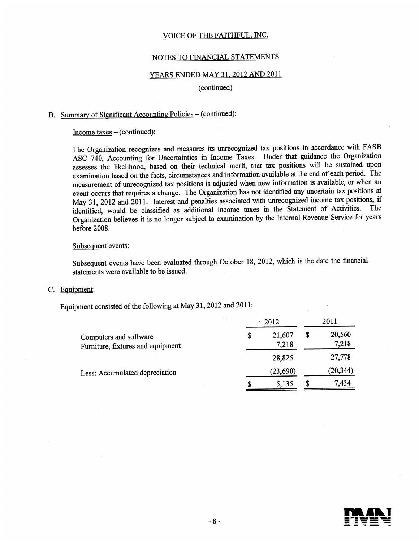#### NOTES TO FINANCIAL STATEMENTS

# YEARS ENDED *MAY* 31. 2012 AND 2011

#### (continued)

### B. Summary of Significant Accounting Policies - (continued):

Income  $taxes - (continued)$ :

The Organization recognizes and measures its unrecognized tax positions in accordance with FASB ASC 740, Accounting for Uncertainties in Income Taxes. Under that guidance the Organization assesses the likelihood, based on their technical merit, that tax positions will be sustained upon examination based on the facts, circumstances and information available at the end of each period. The measurement of unrecognized tax positions is adjusted when new information is available, or when an event occurs that requires a change. The Organization has not identified any uncertain tax positions at May 31, 2012 and 2011. Interest and penalties associated with unrecognized income tax positions, if<br>identified would be classified as additional income taxes in the Statement of Activities. The identified, would be classified as additional income taxes in the Statement of Activities. Organization believes it is no longer subject to examination by the Internal Revenue Service for years before 2008,

#### Subsequent events:

Subsequent events have been evaluated through October 18, 2012, which is the date the financial statements were available to be issued.

#### C. Equipment:

Equipment consisted of the following at May 31,2012 and 2011:

|                                                             |    | 2012            | 2011 |                 |  |
|-------------------------------------------------------------|----|-----------------|------|-----------------|--|
| Computers and software<br>Furniture, fixtures and equipment | \$ | 21,607<br>7,218 | S    | 20,560<br>7,218 |  |
|                                                             |    | 28,825          |      | 27,778          |  |
| Less: Accumulated depreciation                              |    | (23,690)        |      | (20, 344)       |  |
|                                                             | S  | 5,135           |      | 7,434           |  |

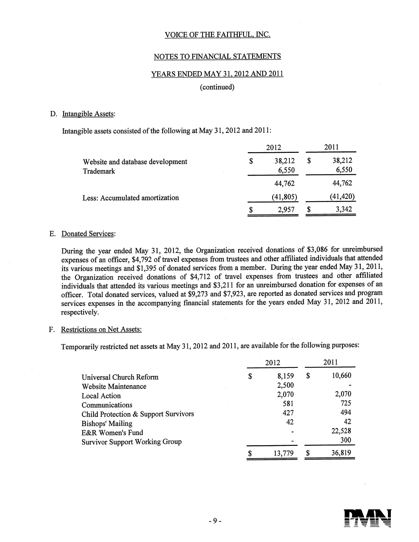#### NOTES TO FINANCIAL STATEMENTS

#### YEARS ENDED MAY 31. 2012 AND 2011

#### (continued)

#### D. Intangible Assets:

Intangible assets consisted of the following at May 31,2012 and 2011:

| Website and database development<br>Trademark | \$ | 38,212<br>6,550 | S | 38,212<br>6,550 |
|-----------------------------------------------|----|-----------------|---|-----------------|
|                                               |    | 44,762          |   | 44,762          |
| Less: Accumulated amortization                |    | (41, 805)       |   | (41, 420)       |
|                                               | S  | 2,957           | S | 3,342           |

#### E. Donated Services:

During the year ended May 31, 2012, the Organization received donations of \$3,086 for unreimbursed expenses of an officer, \$4,792 of travel expenses from trustees and other affiliated individuals that attended its various meetings and \$1,395 of donated services from a member. During the year ended May 31, 2011, the Organization received donations of \$4,712 of travel expenses from trustees and other affiliated individuals that attended its various meetings and \$3,211 for an unreimbursed donation for expenses of an officer. Total donated services, valued at \$9,273 and \$7,923, are reported as donated services and program services expenses in the accompanying financial statements for the years ended May 31, 2012 and 2011, respectively.

#### F. Restrictions on Net Assets:

Temporarily restricted net assets at May 31,2012 and 2011, are available for the following purposes:

|                                       | 2012         | 2011 |        |  |
|---------------------------------------|--------------|------|--------|--|
| Universal Church Reform               | \$<br>8,159  | \$   | 10,660 |  |
| Website Maintenance                   | 2,500        |      |        |  |
| Local Action                          | 2,070        |      | 2,070  |  |
| Communications                        | 581          |      | 725    |  |
| Child Protection & Support Survivors  | 427          |      | 494    |  |
| <b>Bishops' Mailing</b>               | 42           |      | 42     |  |
| <b>E&amp;R Women's Fund</b>           |              |      | 22,528 |  |
| <b>Survivor Support Working Group</b> |              |      | 300    |  |
|                                       | \$<br>13,779 | S    | 36,819 |  |

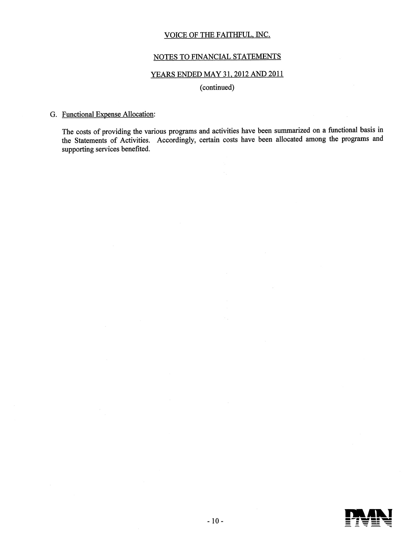#### NOTES TO FINANCIAL STATEMENTS

# YEARS ENDED MAY 31, 2012 AND 2011

#### (continued)

# 0. Functional Expense Allocation:

The costs of providing the various programs and activities have been summarized on a functional basis in the Statements of Activities. Accordingly, certain costs have been allocated among the programs and supporting services benefited.

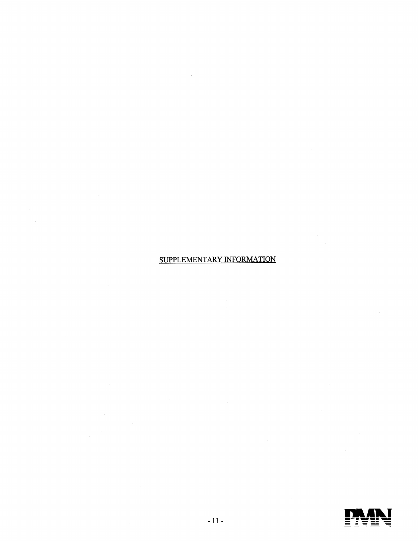# SUPPLEMENTARY INFORMATION

 $\sim \kappa_{\rm p}$ 

 $\mathcal{L}^{\text{max}}_{\text{max}}$  and  $\mathcal{L}^{\text{max}}_{\text{max}}$ 

 $\mathcal{A}^{\mathcal{A}}$ 

 $\mathcal{L}^{\text{max}}_{\text{max}}$ 

 $\sim 10^6$ 

 $\bar{\beta}$ 

 $\bar{z}$